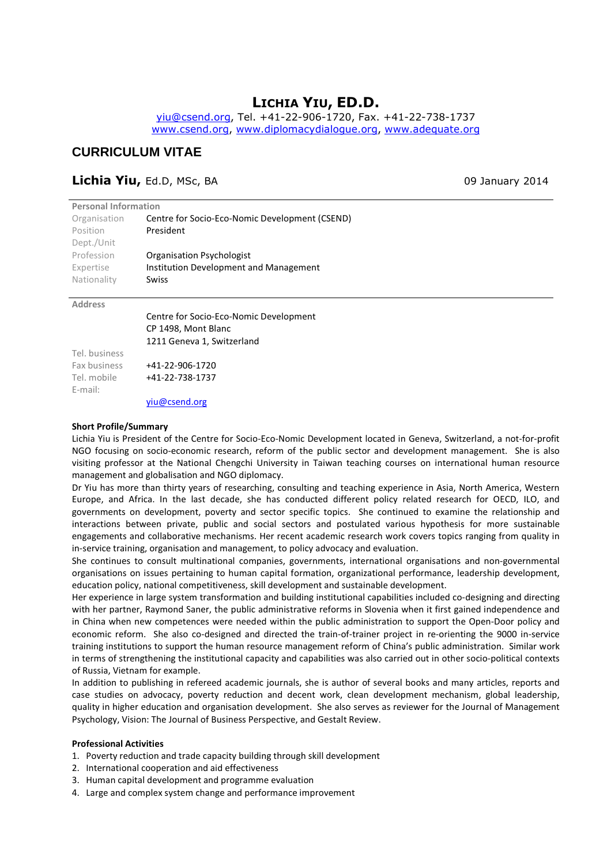# **LICHIA YIU, ED.D.**

yiu@csend.org, Tel. +41-22-906-1720, Fax. +41-22-738-1737 www.csend.org, www.diplomacydialogue.org, www.adequate.org

## **CURRICULUM VITAE**

### **Lichia Yiu,** Ed.D, MSc, BA 09 January 2014

| <b>Personal Information</b>                    |  |  |  |  |  |  |
|------------------------------------------------|--|--|--|--|--|--|
| Centre for Socio-Eco-Nomic Development (CSEND) |  |  |  |  |  |  |
| President                                      |  |  |  |  |  |  |
|                                                |  |  |  |  |  |  |
| Organisation Psychologist                      |  |  |  |  |  |  |
| Institution Development and Management         |  |  |  |  |  |  |
| Swiss                                          |  |  |  |  |  |  |
|                                                |  |  |  |  |  |  |

#### **Address**

Centre for Socio-Eco-Nomic Development CP 1498, Mont Blanc 1211 Geneva 1, Switzerland

Tel. business Fax business Tel. mobile E-mail:

+41-22-906-1720 +41-22-738-1737

yiu@csend.org

#### **Short Profile/Summary**

Lichia Yiu is President of the Centre for Socio-Eco-Nomic Development located in Geneva, Switzerland, a not-for-profit NGO focusing on socio-economic research, reform of the public sector and development management. She is also visiting professor at the National Chengchi University in Taiwan teaching courses on international human resource management and globalisation and NGO diplomacy.

Dr Yiu has more than thirty years of researching, consulting and teaching experience in Asia, North America, Western Europe, and Africa. In the last decade, she has conducted different policy related research for OECD, ILO, and governments on development, poverty and sector specific topics. She continued to examine the relationship and interactions between private, public and social sectors and postulated various hypothesis for more sustainable engagements and collaborative mechanisms. Her recent academic research work covers topics ranging from quality in in-service training, organisation and management, to policy advocacy and evaluation.

She continues to consult multinational companies, governments, international organisations and non-governmental organisations on issues pertaining to human capital formation, organizational performance, leadership development, education policy, national competitiveness, skill development and sustainable development.

Her experience in large system transformation and building institutional capabilities included co-designing and directing with her partner, Raymond Saner, the public administrative reforms in Slovenia when it first gained independence and in China when new competences were needed within the public administration to support the Open-Door policy and economic reform. She also co-designed and directed the train-of-trainer project in re-orienting the 9000 in-service training institutions to support the human resource management reform of China's public administration. Similar work in terms of strengthening the institutional capacity and capabilities was also carried out in other socio-political contexts of Russia, Vietnam for example.

In addition to publishing in refereed academic journals, she is author of several books and many articles, reports and case studies on advocacy, poverty reduction and decent work, clean development mechanism, global leadership, quality in higher education and organisation development. She also serves as reviewer for the Journal of Management Psychology, Vision: The Journal of Business Perspective, and Gestalt Review.

#### **Professional Activities**

- 1. Poverty reduction and trade capacity building through skill development
- 2. International cooperation and aid effectiveness
- 3. Human capital development and programme evaluation
- 4. Large and complex system change and performance improvement